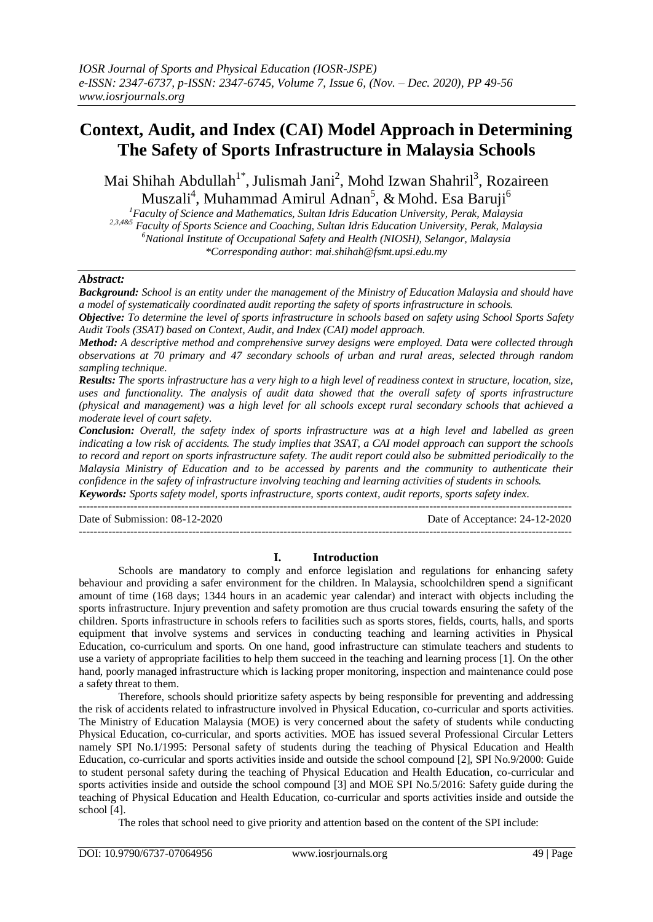# **Context, Audit, and Index (CAI) Model Approach in Determining The Safety of Sports Infrastructure in Malaysia Schools**

Mai Shihah Abdullah<sup>1\*</sup>, Julismah Jani<sup>2</sup>, Mohd Izwan Shahril<sup>3</sup>, Rozaireen Muszali<sup>4</sup>, Muhammad Amirul Adnan<sup>5</sup>, & Mohd. Esa Baruji<sup>6</sup>

*<sup>1</sup>Faculty of Science and Mathematics, Sultan Idris Education University, Perak, Malaysia 2,3,4&5 Faculty of Sports Science and Coaching, Sultan Idris Education University, Perak, Malaysia <sup>6</sup>National Institute of Occupational Safety and Health (NIOSH), Selangor, Malaysia \*Corresponding author*: *mai.shihah@fsmt.upsi.edu.my*

# *Abstract:*

*Background: School is an entity under the management of the Ministry of Education Malaysia and should have a model of systematically coordinated audit reporting the safety of sports infrastructure in schools.* 

*Objective: To determine the level of sports infrastructure in schools based on safety using School Sports Safety Audit Tools (3SAT) based on Context, Audit, and Index (CAI) model approach.* 

*Method: A descriptive method and comprehensive survey designs were employed. Data were collected through observations at 70 primary and 47 secondary schools of urban and rural areas, selected through random sampling technique.* 

*Results: The sports infrastructure has a very high to a high level of readiness context in structure, location, size, uses and functionality. The analysis of audit data showed that the overall safety of sports infrastructure (physical and management) was a high level for all schools except rural secondary schools that achieved a moderate level of court safety.* 

*Conclusion: Overall, the safety index of sports infrastructure was at a high level and labelled as green indicating a low risk of accidents. The study implies that 3SAT, a CAI model approach can support the schools to record and report on sports infrastructure safety. The audit report could also be submitted periodically to the Malaysia Ministry of Education and to be accessed by parents and the community to authenticate their confidence in the safety of infrastructure involving teaching and learning activities of students in schools. Keywords: Sports safety model, sports infrastructure, sports context, audit reports, sports safety index.* 

---------------------------------------------------------------------------------------------------------------------------------------

Date of Submission: 08-12-2020 Date of Acceptance: 24-12-2020

---------------------------------------------------------------------------------------------------------------------------------------

# **I. Introduction**

Schools are mandatory to comply and enforce legislation and regulations for enhancing safety behaviour and providing a safer environment for the children. In Malaysia, schoolchildren spend a significant amount of time (168 days; 1344 hours in an academic year calendar) and interact with objects including the sports infrastructure. Injury prevention and safety promotion are thus crucial towards ensuring the safety of the children. Sports infrastructure in schools refers to facilities such as sports stores, fields, courts, halls, and sports equipment that involve systems and services in conducting teaching and learning activities in Physical Education, co-curriculum and sports. On one hand, good infrastructure can stimulate teachers and students to use a variety of appropriate facilities to help them succeed in the teaching and learning process [1]. On the other hand, poorly managed infrastructure which is lacking proper monitoring, inspection and maintenance could pose a safety threat to them.

Therefore, schools should prioritize safety aspects by being responsible for preventing and addressing the risk of accidents related to infrastructure involved in Physical Education, co-curricular and sports activities. The Ministry of Education Malaysia (MOE) is very concerned about the safety of students while conducting Physical Education, co-curricular, and sports activities. MOE has issued several Professional Circular Letters namely SPI No.1/1995: Personal safety of students during the teaching of Physical Education and Health Education, co-curricular and sports activities inside and outside the school compound [2], SPI No.9/2000: Guide to student personal safety during the teaching of Physical Education and Health Education, co-curricular and sports activities inside and outside the school compound [3] and MOE SPI No.5/2016: Safety guide during the teaching of Physical Education and Health Education, co-curricular and sports activities inside and outside the school [4].

The roles that school need to give priority and attention based on the content of the SPI include: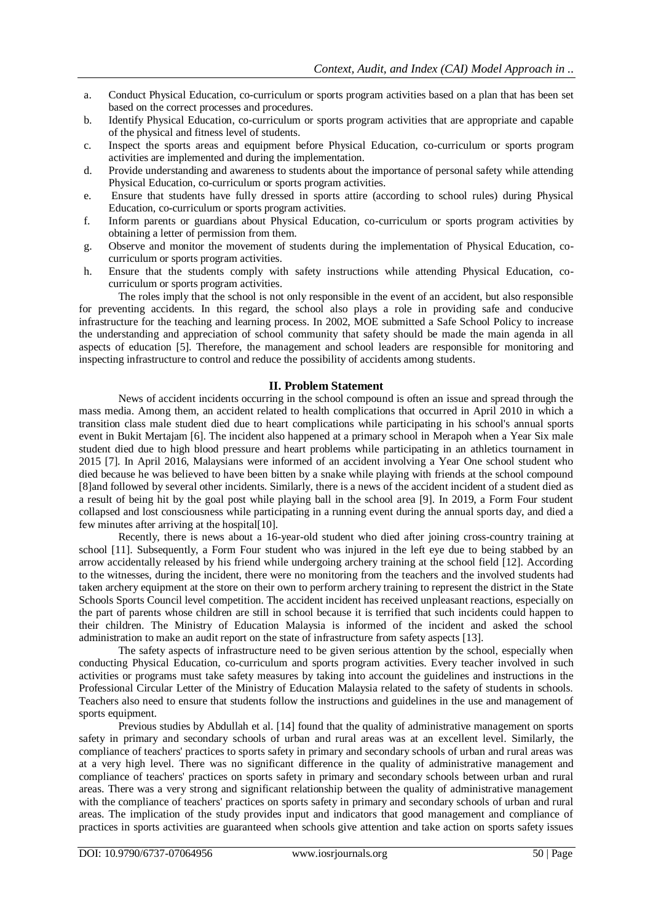- a. Conduct Physical Education, co-curriculum or sports program activities based on a plan that has been set based on the correct processes and procedures.
- b. Identify Physical Education, co-curriculum or sports program activities that are appropriate and capable of the physical and fitness level of students.
- c. Inspect the sports areas and equipment before Physical Education, co-curriculum or sports program activities are implemented and during the implementation.
- d. Provide understanding and awareness to students about the importance of personal safety while attending Physical Education, co-curriculum or sports program activities.
- e. Ensure that students have fully dressed in sports attire (according to school rules) during Physical Education, co-curriculum or sports program activities.
- f. Inform parents or guardians about Physical Education, co-curriculum or sports program activities by obtaining a letter of permission from them.
- g. Observe and monitor the movement of students during the implementation of Physical Education, cocurriculum or sports program activities.
- h. Ensure that the students comply with safety instructions while attending Physical Education, cocurriculum or sports program activities.

The roles imply that the school is not only responsible in the event of an accident, but also responsible for preventing accidents. In this regard, the school also plays a role in providing safe and conducive infrastructure for the teaching and learning process. In 2002, MOE submitted a Safe School Policy to increase the understanding and appreciation of school community that safety should be made the main agenda in all aspects of education [5]. Therefore, the management and school leaders are responsible for monitoring and inspecting infrastructure to control and reduce the possibility of accidents among students.

## **II. Problem Statement**

News of accident incidents occurring in the school compound is often an issue and spread through the mass media. Among them, an accident related to health complications that occurred in April 2010 in which a transition class male student died due to heart complications while participating in his school's annual sports event in Bukit Mertajam [6]. The incident also happened at a primary school in Merapoh when a Year Six male student died due to high blood pressure and heart problems while participating in an athletics tournament in 2015 [7]. In April 2016, Malaysians were informed of an accident involving a Year One school student who died because he was believed to have been bitten by a snake while playing with friends at the school compound [8]and followed by several other incidents. Similarly, there is a news of the accident incident of a student died as a result of being hit by the goal post while playing ball in the school area [9]. In 2019, a Form Four student collapsed and lost consciousness while participating in a running event during the annual sports day, and died a few minutes after arriving at the hospital[10].

Recently, there is news about a 16-year-old student who died after joining cross-country training at school [11]. Subsequently, a Form Four student who was injured in the left eye due to being stabbed by an arrow accidentally released by his friend while undergoing archery training at the school field [12]. According to the witnesses, during the incident, there were no monitoring from the teachers and the involved students had taken archery equipment at the store on their own to perform archery training to represent the district in the State Schools Sports Council level competition. The accident incident has received unpleasant reactions, especially on the part of parents whose children are still in school because it is terrified that such incidents could happen to their children. The Ministry of Education Malaysia is informed of the incident and asked the school administration to make an audit report on the state of infrastructure from safety aspects [13].

The safety aspects of infrastructure need to be given serious attention by the school, especially when conducting Physical Education, co-curriculum and sports program activities. Every teacher involved in such activities or programs must take safety measures by taking into account the guidelines and instructions in the Professional Circular Letter of the Ministry of Education Malaysia related to the safety of students in schools. Teachers also need to ensure that students follow the instructions and guidelines in the use and management of sports equipment.

Previous studies by Abdullah et al. [14] found that the quality of administrative management on sports safety in primary and secondary schools of urban and rural areas was at an excellent level. Similarly, the compliance of teachers' practices to sports safety in primary and secondary schools of urban and rural areas was at a very high level. There was no significant difference in the quality of administrative management and compliance of teachers' practices on sports safety in primary and secondary schools between urban and rural areas. There was a very strong and significant relationship between the quality of administrative management with the compliance of teachers' practices on sports safety in primary and secondary schools of urban and rural areas. The implication of the study provides input and indicators that good management and compliance of practices in sports activities are guaranteed when schools give attention and take action on sports safety issues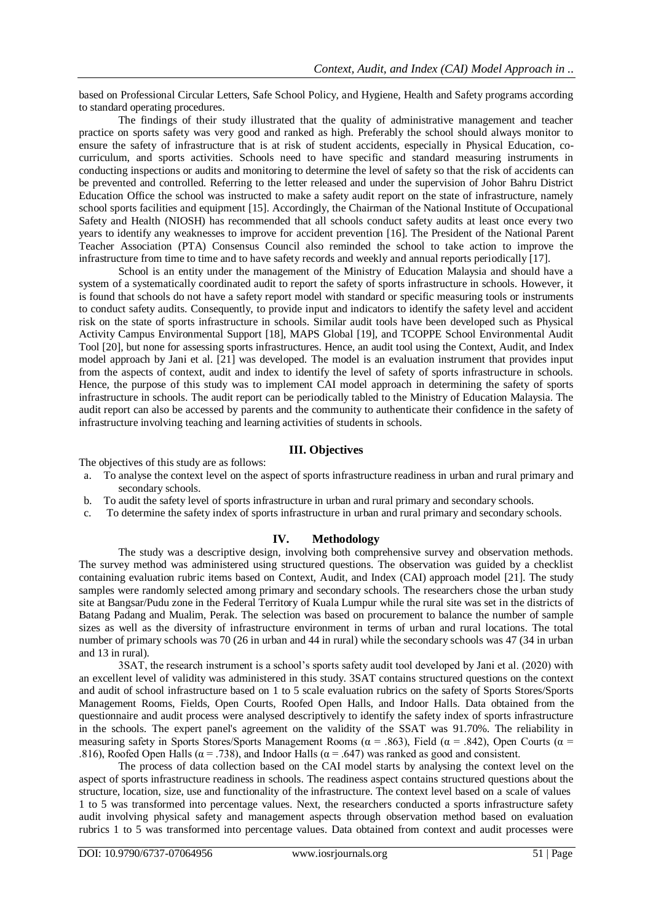based on Professional Circular Letters, Safe School Policy, and Hygiene, Health and Safety programs according to standard operating procedures.

The findings of their study illustrated that the quality of administrative management and teacher practice on sports safety was very good and ranked as high. Preferably the school should always monitor to ensure the safety of infrastructure that is at risk of student accidents, especially in Physical Education, cocurriculum, and sports activities. Schools need to have specific and standard measuring instruments in conducting inspections or audits and monitoring to determine the level of safety so that the risk of accidents can be prevented and controlled. Referring to the letter released and under the supervision of Johor Bahru District Education Office the school was instructed to make a safety audit report on the state of infrastructure, namely school sports facilities and equipment [15]. Accordingly, the Chairman of the National Institute of Occupational Safety and Health (NIOSH) has recommended that all schools conduct safety audits at least once every two years to identify any weaknesses to improve for accident prevention [16]. The President of the National Parent Teacher Association (PTA) Consensus Council also reminded the school to take action to improve the infrastructure from time to time and to have safety records and weekly and annual reports periodically [17].

School is an entity under the management of the Ministry of Education Malaysia and should have a system of a systematically coordinated audit to report the safety of sports infrastructure in schools. However, it is found that schools do not have a safety report model with standard or specific measuring tools or instruments to conduct safety audits. Consequently, to provide input and indicators to identify the safety level and accident risk on the state of sports infrastructure in schools. Similar audit tools have been developed such as Physical Activity Campus Environmental Support [18], MAPS Global [19], and TCOPPE School Environmental Audit Tool [20], but none for assessing sports infrastructures. Hence, an audit tool using the Context, Audit, and Index model approach by Jani et al. [21] was developed. The model is an evaluation instrument that provides input from the aspects of context, audit and index to identify the level of safety of sports infrastructure in schools. Hence, the purpose of this study was to implement CAI model approach in determining the safety of sports infrastructure in schools. The audit report can be periodically tabled to the Ministry of Education Malaysia. The audit report can also be accessed by parents and the community to authenticate their confidence in the safety of infrastructure involving teaching and learning activities of students in schools.

# **III. Objectives**

The objectives of this study are as follows:

- a. To analyse the context level on the aspect of sports infrastructure readiness in urban and rural primary and secondary schools.
- b. To audit the safety level of sports infrastructure in urban and rural primary and secondary schools.
- To determine the safety index of sports infrastructure in urban and rural primary and secondary schools.

## **IV. Methodology**

The study was a descriptive design, involving both comprehensive survey and observation methods. The survey method was administered using structured questions. The observation was guided by a checklist containing evaluation rubric items based on Context, Audit, and Index (CAI) approach model [21]. The study samples were randomly selected among primary and secondary schools. The researchers chose the urban study site at Bangsar/Pudu zone in the Federal Territory of Kuala Lumpur while the rural site was set in the districts of Batang Padang and Mualim, Perak. The selection was based on procurement to balance the number of sample sizes as well as the diversity of infrastructure environment in terms of urban and rural locations. The total number of primary schools was 70 (26 in urban and 44 in rural) while the secondary schools was 47 (34 in urban and 13 in rural).

3SAT, the research instrument is a school's sports safety audit tool developed by Jani et al. (2020) with an excellent level of validity was administered in this study. 3SAT contains structured questions on the context and audit of school infrastructure based on 1 to 5 scale evaluation rubrics on the safety of Sports Stores/Sports Management Rooms, Fields, Open Courts, Roofed Open Halls, and Indoor Halls. Data obtained from the questionnaire and audit process were analysed descriptively to identify the safety index of sports infrastructure in the schools. The expert panel's agreement on the validity of the SSAT was 91.70%. The reliability in measuring safety in Sports Stores/Sports Management Rooms ( $\alpha$  = .863), Field ( $\alpha$  = .842), Open Courts ( $\alpha$  = .816), Roofed Open Halls ( $\alpha$  = .738), and Indoor Halls ( $\alpha$  = .647) was ranked as good and consistent.

The process of data collection based on the CAI model starts by analysing the context level on the aspect of sports infrastructure readiness in schools. The readiness aspect contains structured questions about the structure, location, size, use and functionality of the infrastructure. The context level based on a scale of values 1 to 5 was transformed into percentage values. Next, the researchers conducted a sports infrastructure safety audit involving physical safety and management aspects through observation method based on evaluation rubrics 1 to 5 was transformed into percentage values. Data obtained from context and audit processes were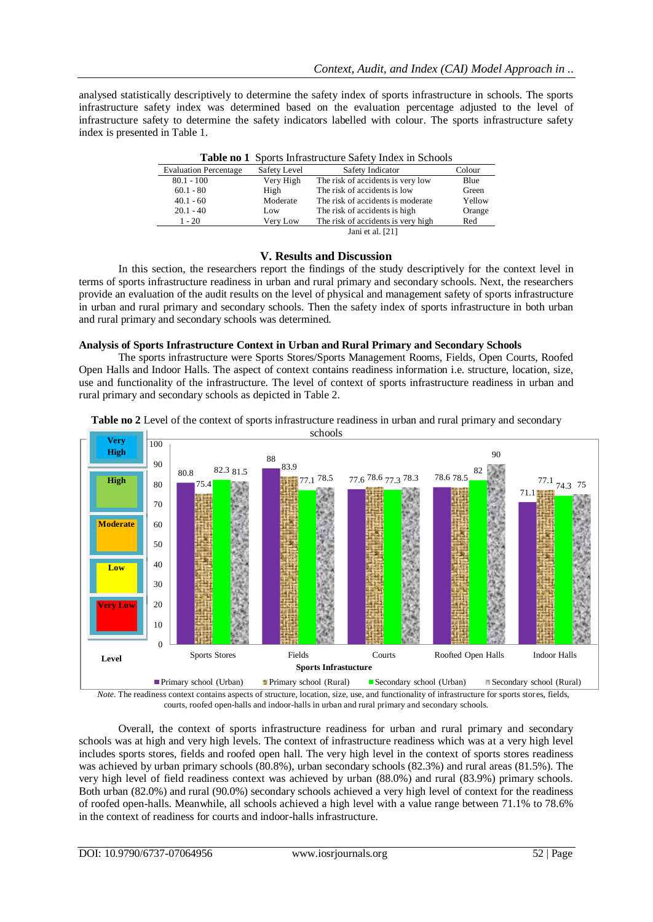analysed statistically descriptively to determine the safety index of sports infrastructure in schools. The sports infrastructure safety index was determined based on the evaluation percentage adjusted to the level of infrastructure safety to determine the safety indicators labelled with colour. The sports infrastructure safety index is presented in Table 1.

| <b>Table to T</b> Sports infrastructure safety flues in Schools |              |                                    |        |  |  |
|-----------------------------------------------------------------|--------------|------------------------------------|--------|--|--|
| <b>Evaluation Percentage</b>                                    | Safety Level | Safety Indicator                   | Colour |  |  |
| $80.1 - 100$                                                    | Very High    | The risk of accidents is very low  | Blue   |  |  |
| $60.1 - 80$                                                     | High         | The risk of accidents is low       | Green  |  |  |
| $40.1 - 60$                                                     | Moderate     | The risk of accidents is moderate  | Yellow |  |  |
| $20.1 - 40$                                                     | Low          | The risk of accidents is high      | Orange |  |  |
| $1 - 20$                                                        | Very Low     | The risk of accidents is very high | Red    |  |  |
|                                                                 |              | Jani et al. [21]                   |        |  |  |

|  |  | Table no 1 Sports Infrastructure Safety Index in Schools |  |  |  |  |
|--|--|----------------------------------------------------------|--|--|--|--|
|--|--|----------------------------------------------------------|--|--|--|--|

## **V. Results and Discussion**

In this section, the researchers report the findings of the study descriptively for the context level in terms of sports infrastructure readiness in urban and rural primary and secondary schools. Next, the researchers provide an evaluation of the audit results on the level of physical and management safety of sports infrastructure in urban and rural primary and secondary schools. Then the safety index of sports infrastructure in both urban and rural primary and secondary schools was determined.

#### **Analysis of Sports Infrastructure Context in Urban and Rural Primary and Secondary Schools**

The sports infrastructure were Sports Stores/Sports Management Rooms, Fields, Open Courts, Roofed Open Halls and Indoor Halls. The aspect of context contains readiness information i.e. structure, location, size, use and functionality of the infrastructure. The level of context of sports infrastructure readiness in urban and rural primary and secondary schools as depicted in Table 2.



**Table no 2** Level of the context of sports infrastructure readiness in urban and rural primary and secondary

*Note.* The readiness context contains aspects of structure, location, size, use, and functionality of infrastructure for sports stores, fields, courts, roofed open-halls and indoor-halls in urban and rural primary and secondary schools.

Overall, the context of sports infrastructure readiness for urban and rural primary and secondary schools was at high and very high levels. The context of infrastructure readiness which was at a very high level includes sports stores, fields and roofed open hall. The very high level in the context of sports stores readiness was achieved by urban primary schools (80.8%), urban secondary schools (82.3%) and rural areas (81.5%). The very high level of field readiness context was achieved by urban (88.0%) and rural (83.9%) primary schools. Both urban (82.0%) and rural (90.0%) secondary schools achieved a very high level of context for the readiness of roofed open-halls. Meanwhile, all schools achieved a high level with a value range between 71.1% to 78.6% in the context of readiness for courts and indoor-halls infrastructure.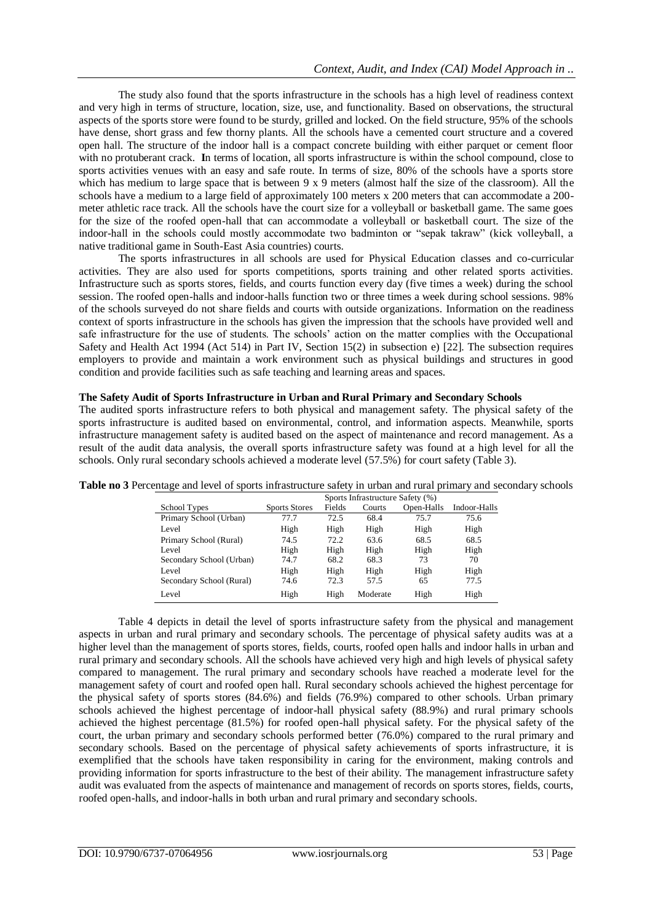The study also found that the sports infrastructure in the schools has a high level of readiness context and very high in terms of structure, location, size, use, and functionality. Based on observations, the structural aspects of the sports store were found to be sturdy, grilled and locked. On the field structure, 95% of the schools have dense, short grass and few thorny plants. All the schools have a cemented court structure and a covered open hall. The structure of the indoor hall is a compact concrete building with either parquet or cement floor with no protuberant crack. **I**n terms of location, all sports infrastructure is within the school compound, close to sports activities venues with an easy and safe route. In terms of size, 80% of the schools have a sports store which has medium to large space that is between 9 x 9 meters (almost half the size of the classroom). All the schools have a medium to a large field of approximately 100 meters x 200 meters that can accommodate a 200 meter athletic race track. All the schools have the court size for a volleyball or basketball game. The same goes for the size of the roofed open-hall that can accommodate a volleyball or basketball court. The size of the indoor-hall in the schools could mostly accommodate two badminton or "sepak takraw" (kick volleyball, a native traditional game in South-East Asia countries) courts.

The sports infrastructures in all schools are used for Physical Education classes and co-curricular activities. They are also used for sports competitions, sports training and other related sports activities. Infrastructure such as sports stores, fields, and courts function every day (five times a week) during the school session. The roofed open-halls and indoor-halls function two or three times a week during school sessions. 98% of the schools surveyed do not share fields and courts with outside organizations. Information on the readiness context of sports infrastructure in the schools has given the impression that the schools have provided well and safe infrastructure for the use of students. The schools' action on the matter complies with the Occupational Safety and Health Act 1994 (Act 514) in Part IV, Section 15(2) in subsection e) [22]. The subsection requires employers to provide and maintain a work environment such as physical buildings and structures in good condition and provide facilities such as safe teaching and learning areas and spaces.

## **The Safety Audit of Sports Infrastructure in Urban and Rural Primary and Secondary Schools**

The audited sports infrastructure refers to both physical and management safety. The physical safety of the sports infrastructure is audited based on environmental, control, and information aspects. Meanwhile, sports infrastructure management safety is audited based on the aspect of maintenance and record management. As a result of the audit data analysis, the overall sports infrastructure safety was found at a high level for all the schools. Only rural secondary schools achieved a moderate level (57.5%) for court safety (Table 3).

|                          | $\mathcal{L}$        |        |          |            |              |  |
|--------------------------|----------------------|--------|----------|------------|--------------|--|
| School Types             | <b>Sports Stores</b> | Fields | Courts   | Open-Halls | Indoor-Halls |  |
| Primary School (Urban)   | 77.7                 | 72.5   | 68.4     | 75.7       | 75.6         |  |
| Level                    | High                 | High   | High     | High       | High         |  |
| Primary School (Rural)   | 74.5                 | 72.2   | 63.6     | 68.5       | 68.5         |  |
| Level                    | High                 | High   | High     | High       | High         |  |
| Secondary School (Urban) | 74.7                 | 68.2   | 68.3     | 73         | 70           |  |
| Level                    | High                 | High   | High     | High       | High         |  |
| Secondary School (Rural) | 74.6                 | 72.3   | 57.5     | 65         | 77.5         |  |
| Level                    | High                 | High   | Moderate | High       | High         |  |

**Table no 3** Percentage and level of sports infrastructure safety in urban and rural primary and secondary schools Sports Infrastructure Safety (%)

Table 4 depicts in detail the level of sports infrastructure safety from the physical and management aspects in urban and rural primary and secondary schools. The percentage of physical safety audits was at a higher level than the management of sports stores, fields, courts, roofed open halls and indoor halls in urban and rural primary and secondary schools. All the schools have achieved very high and high levels of physical safety compared to management. The rural primary and secondary schools have reached a moderate level for the management safety of court and roofed open hall. Rural secondary schools achieved the highest percentage for the physical safety of sports stores (84.6%) and fields (76.9%) compared to other schools. Urban primary schools achieved the highest percentage of indoor-hall physical safety (88.9%) and rural primary schools achieved the highest percentage (81.5%) for roofed open-hall physical safety. For the physical safety of the court, the urban primary and secondary schools performed better (76.0%) compared to the rural primary and secondary schools. Based on the percentage of physical safety achievements of sports infrastructure, it is exemplified that the schools have taken responsibility in caring for the environment, making controls and providing information for sports infrastructure to the best of their ability. The management infrastructure safety audit was evaluated from the aspects of maintenance and management of records on sports stores, fields, courts, roofed open-halls, and indoor-halls in both urban and rural primary and secondary schools.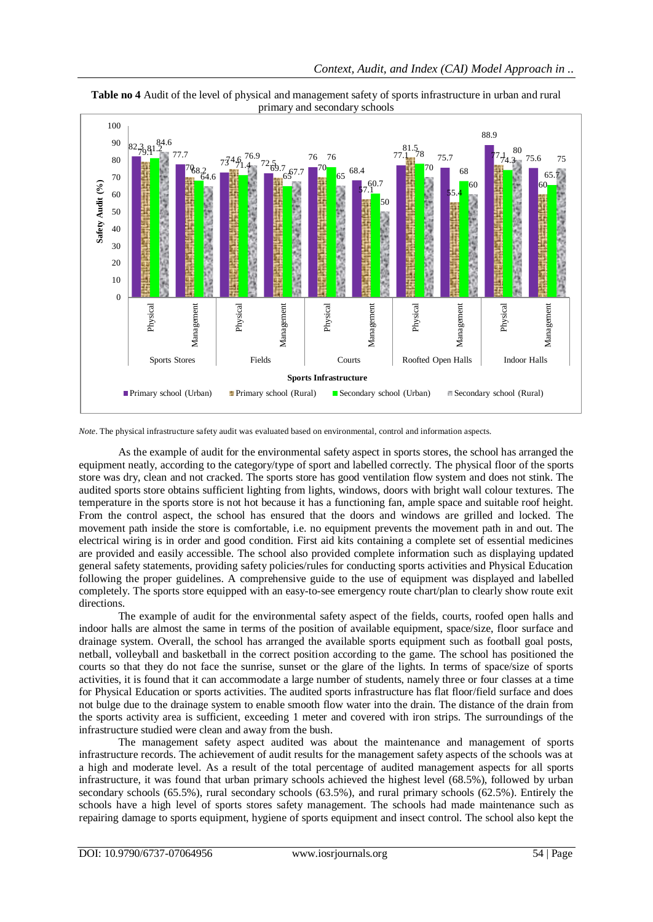

**Table no 4** Audit of the level of physical and management safety of sports infrastructure in urban and rural primary and secondary schools

*Note*. The physical infrastructure safety audit was evaluated based on environmental, control and information aspects.

As the example of audit for the environmental safety aspect in sports stores, the school has arranged the equipment neatly, according to the category/type of sport and labelled correctly. The physical floor of the sports store was dry, clean and not cracked. The sports store has good ventilation flow system and does not stink. The audited sports store obtains sufficient lighting from lights, windows, doors with bright wall colour textures. The temperature in the sports store is not hot because it has a functioning fan, ample space and suitable roof height. From the control aspect, the school has ensured that the doors and windows are grilled and locked. The movement path inside the store is comfortable, i.e. no equipment prevents the movement path in and out. The electrical wiring is in order and good condition. First aid kits containing a complete set of essential medicines are provided and easily accessible. The school also provided complete information such as displaying updated general safety statements, providing safety policies/rules for conducting sports activities and Physical Education following the proper guidelines. A comprehensive guide to the use of equipment was displayed and labelled completely. The sports store equipped with an easy-to-see emergency route chart/plan to clearly show route exit directions.

The example of audit for the environmental safety aspect of the fields, courts, roofed open halls and indoor halls are almost the same in terms of the position of available equipment, space/size, floor surface and drainage system. Overall, the school has arranged the available sports equipment such as football goal posts, netball, volleyball and basketball in the correct position according to the game. The school has positioned the courts so that they do not face the sunrise, sunset or the glare of the lights. In terms of space/size of sports activities, it is found that it can accommodate a large number of students, namely three or four classes at a time for Physical Education or sports activities. The audited sports infrastructure has flat floor/field surface and does not bulge due to the drainage system to enable smooth flow water into the drain. The distance of the drain from the sports activity area is sufficient, exceeding 1 meter and covered with iron strips. The surroundings of the infrastructure studied were clean and away from the bush.

The management safety aspect audited was about the maintenance and management of sports infrastructure records. The achievement of audit results for the management safety aspects of the schools was at a high and moderate level. As a result of the total percentage of audited management aspects for all sports infrastructure, it was found that urban primary schools achieved the highest level (68.5%), followed by urban secondary schools (65.5%), rural secondary schools (63.5%), and rural primary schools (62.5%). Entirely the schools have a high level of sports stores safety management. The schools had made maintenance such as repairing damage to sports equipment, hygiene of sports equipment and insect control. The school also kept the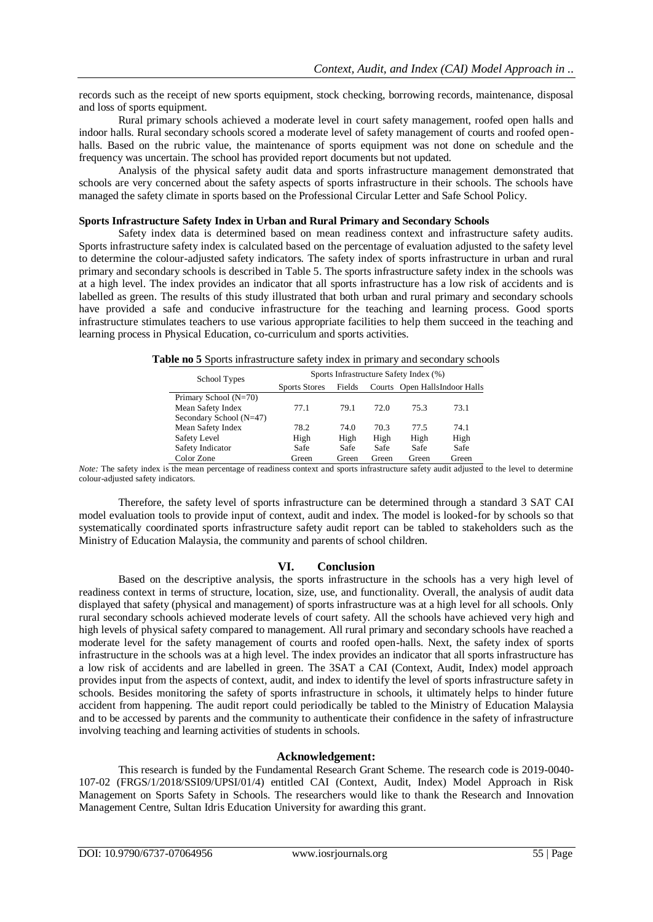records such as the receipt of new sports equipment, stock checking, borrowing records, maintenance, disposal and loss of sports equipment.

Rural primary schools achieved a moderate level in court safety management, roofed open halls and indoor halls. Rural secondary schools scored a moderate level of safety management of courts and roofed openhalls. Based on the rubric value, the maintenance of sports equipment was not done on schedule and the frequency was uncertain. The school has provided report documents but not updated.

Analysis of the physical safety audit data and sports infrastructure management demonstrated that schools are very concerned about the safety aspects of sports infrastructure in their schools. The schools have managed the safety climate in sports based on the Professional Circular Letter and Safe School Policy.

## **Sports Infrastructure Safety Index in Urban and Rural Primary and Secondary Schools**

Safety index data is determined based on mean readiness context and infrastructure safety audits. Sports infrastructure safety index is calculated based on the percentage of evaluation adjusted to the safety level to determine the colour-adjusted safety indicators. The safety index of sports infrastructure in urban and rural primary and secondary schools is described in Table 5. The sports infrastructure safety index in the schools was at a high level. The index provides an indicator that all sports infrastructure has a low risk of accidents and is labelled as green. The results of this study illustrated that both urban and rural primary and secondary schools have provided a safe and conducive infrastructure for the teaching and learning process. Good sports infrastructure stimulates teachers to use various appropriate facilities to help them succeed in the teaching and learning process in Physical Education, co-curriculum and sports activities.

**Table no 5** Sports infrastructure safety index in primary and secondary schools

| School Types            | Sports Infrastructure Safety Index (%) |        |       |       |                               |
|-------------------------|----------------------------------------|--------|-------|-------|-------------------------------|
|                         | <b>Sports Stores</b>                   | Fields |       |       | Courts Open HallsIndoor Halls |
| Primary School (N=70)   |                                        |        |       |       |                               |
| Mean Safety Index       | 77.1                                   | 79.1   | 72.O  | 75.3  | 73.1                          |
| Secondary School (N=47) |                                        |        |       |       |                               |
| Mean Safety Index       | 78.2                                   | 74.0   | 70.3  | 77.5  | 74.1                          |
| Safety Level            | High                                   | High   | High  | High  | High                          |
| Safety Indicator        | Safe                                   | Safe   | Safe  | Safe  | Safe                          |
| Color Zone              | Green                                  | Green  | Green | Green | Green                         |

*Note:* The safety index is the mean percentage of readiness context and sports infrastructure safety audit adjusted to the level to determine colour-adjusted safety indicators.

Therefore, the safety level of sports infrastructure can be determined through a standard 3 SAT CAI model evaluation tools to provide input of context, audit and index. The model is looked-for by schools so that systematically coordinated sports infrastructure safety audit report can be tabled to stakeholders such as the Ministry of Education Malaysia, the community and parents of school children.

# **VI. Conclusion**

Based on the descriptive analysis, the sports infrastructure in the schools has a very high level of readiness context in terms of structure, location, size, use, and functionality. Overall, the analysis of audit data displayed that safety (physical and management) of sports infrastructure was at a high level for all schools. Only rural secondary schools achieved moderate levels of court safety. All the schools have achieved very high and high levels of physical safety compared to management. All rural primary and secondary schools have reached a moderate level for the safety management of courts and roofed open-halls. Next, the safety index of sports infrastructure in the schools was at a high level. The index provides an indicator that all sports infrastructure has a low risk of accidents and are labelled in green. The 3SAT a CAI (Context, Audit, Index) model approach provides input from the aspects of context, audit, and index to identify the level of sports infrastructure safety in schools. Besides monitoring the safety of sports infrastructure in schools, it ultimately helps to hinder future accident from happening. The audit report could periodically be tabled to the Ministry of Education Malaysia and to be accessed by parents and the community to authenticate their confidence in the safety of infrastructure involving teaching and learning activities of students in schools.

# **Acknowledgement:**

This research is funded by the Fundamental Research Grant Scheme. The research code is 2019-0040- 107-02 (FRGS/1/2018/SSI09/UPSI/01/4) entitled CAI (Context, Audit, Index) Model Approach in Risk Management on Sports Safety in Schools. The researchers would like to thank the Research and Innovation Management Centre, Sultan Idris Education University for awarding this grant.